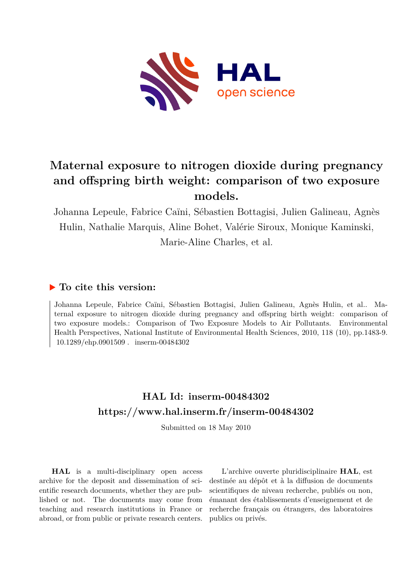

## **Maternal exposure to nitrogen dioxide during pregnancy and offspring birth weight: comparison of two exposure models.**

Johanna Lepeule, Fabrice Caïni, Sébastien Bottagisi, Julien Galineau, Agnès Hulin, Nathalie Marquis, Aline Bohet, Valérie Siroux, Monique Kaminski, Marie-Aline Charles, et al.

### **To cite this version:**

Johanna Lepeule, Fabrice Caïni, Sébastien Bottagisi, Julien Galineau, Agnès Hulin, et al.. Maternal exposure to nitrogen dioxide during pregnancy and offspring birth weight: comparison of two exposure models.: Comparison of Two Exposure Models to Air Pollutants. Environmental Health Perspectives, National Institute of Environmental Health Sciences, 2010, 118 (10), pp.1483-9. 10.1289/ehp.0901509 . inserm-00484302

## **HAL Id: inserm-00484302 <https://www.hal.inserm.fr/inserm-00484302>**

Submitted on 18 May 2010

**HAL** is a multi-disciplinary open access archive for the deposit and dissemination of scientific research documents, whether they are published or not. The documents may come from teaching and research institutions in France or abroad, or from public or private research centers.

L'archive ouverte pluridisciplinaire **HAL**, est destinée au dépôt et à la diffusion de documents scientifiques de niveau recherche, publiés ou non, émanant des établissements d'enseignement et de recherche français ou étrangers, des laboratoires publics ou privés.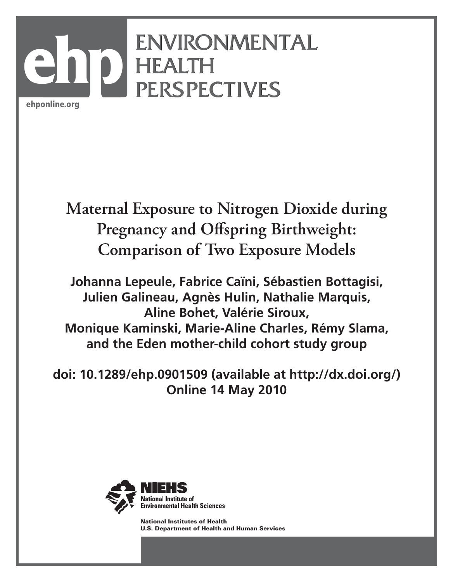# ENVIRONMENTAL ENVIRONMENTAL HEALTH HEALTH PERSPECTIVES PERSPECTIVES **ehp**

ehponline.org

# **Maternal Exposure to Nitrogen Dioxide during Pregnancy and Offspring Birthweight: Comparison of Two Exposure Models**

**Johanna Lepeule, Fabrice Caïni, Sébastien Bottagisi, Julien Galineau, Agnès Hulin, Nathalie Marquis, Aline Bohet, Valérie Siroux, Monique Kaminski, Marie-Aline Charles, Rémy Slama, and the Eden mother-child cohort study group**

**doi: 10.1289/ehp.0901509 (available at http://dx.doi.org/) Online 14 May 2010**



National Institutes of Health U.S. Department of Health and Human Services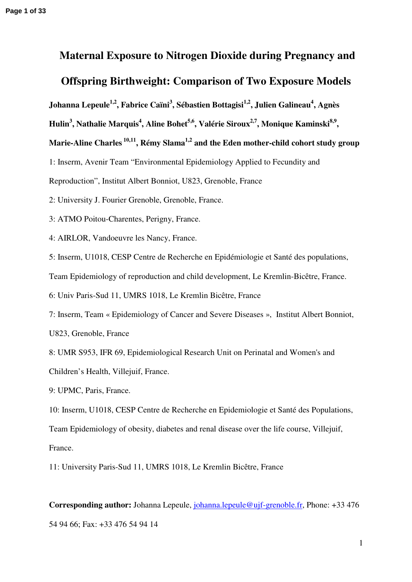# **Maternal Exposure to Nitrogen Dioxide during Pregnancy and Offspring Birthweight: Comparison of Two Exposure Models**

**Johanna Lepeule1,2, Fabrice Caïni<sup>3</sup> , Sébastien Bottagisi1,2, Julien Galineau<sup>4</sup> , Agnès** 

**Hulin<sup>3</sup> , Nathalie Marquis<sup>4</sup> , Aline Bohet5,6, Valérie Siroux2,7, Monique Kaminski8,9 ,** 

**Marie-Aline Charles 10,11, Rémy Slama1,2 and the Eden mother-child cohort study group** 

1: Inserm, Avenir Team "Environmental Epidemiology Applied to Fecundity and

Reproduction", Institut Albert Bonniot, U823, Grenoble, France

2: University J. Fourier Grenoble, Grenoble, France.

3: ATMO Poitou-Charentes, Perigny, France.

4: AIRLOR, Vandoeuvre les Nancy, France.

5: Inserm, U1018, CESP Centre de Recherche en Epidémiologie et Santé des populations,

Team Epidemiology of reproduction and child development, Le Kremlin-Bicêtre, France.

6: Univ Paris-Sud 11, UMRS 1018, Le Kremlin Bicêtre, France

7: Inserm, Team « Epidemiology of Cancer and Severe Diseases », Institut Albert Bonniot, U823, Grenoble, France

8: UMR S953, IFR 69, Epidemiological Research Unit on Perinatal and Women's and

Children's Health, Villejuif, France.

9: UPMC, Paris, France.

10: Inserm, U1018, CESP Centre de Recherche en Epidemiologie et Santé des Populations,

Team Epidemiology of obesity, diabetes and renal disease over the life course, Villejuif, France.

11: University Paris-Sud 11, UMRS 1018, Le Kremlin Bicêtre, France

**Corresponding author:** Johanna Lepeule, [johanna.lepeule@ujf-grenoble.fr](mailto:johanna.lepeule@ujf-grenoble.fr), Phone: +33 476 54 94 66; Fax: +33 476 54 94 14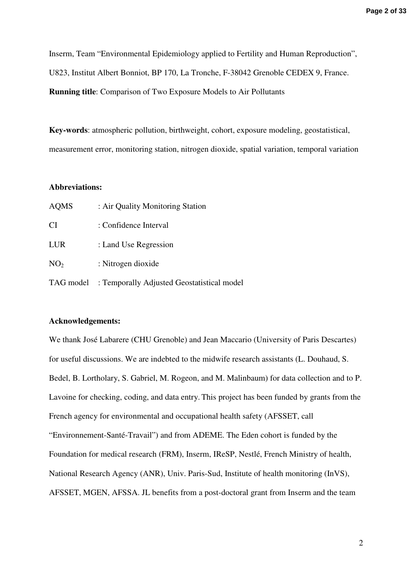Inserm, Team "Environmental Epidemiology applied to Fertility and Human Reproduction", U823, Institut Albert Bonniot, BP 170, La Tronche, F-38042 Grenoble CEDEX 9, France. **Running title**: Comparison of Two Exposure Models to Air Pollutants

**Key-words**: atmospheric pollution, birthweight, cohort, exposure modeling, geostatistical, measurement error, monitoring station, nitrogen dioxide, spatial variation, temporal variation

#### **Abbreviations:**

| <b>AQMS</b>     | : Air Quality Monitoring Station           |
|-----------------|--------------------------------------------|
| CI              | : Confidence Interval                      |
| <b>LUR</b>      | : Land Use Regression                      |
| NO <sub>2</sub> | : Nitrogen dioxide                         |
| TAG model       | : Temporally Adjusted Geostatistical model |

#### **Acknowledgements:**

We thank José Labarere (CHU Grenoble) and Jean Maccario (University of Paris Descartes) for useful discussions. We are indebted to the midwife research assistants (L. Douhaud, S. Bedel, B. Lortholary, S. Gabriel, M. Rogeon, and M. Malinbaum) for data collection and to P. Lavoine for checking, coding, and data entry. This project has been funded by grants from the French agency for environmental and occupational health safety (AFSSET, call "Environnement-Santé-Travail") and from ADEME. The Eden cohort is funded by the Foundation for medical research (FRM), Inserm, IReSP, Nestlé, French Ministry of health, National Research Agency (ANR), Univ. Paris-Sud, Institute of health monitoring (InVS), AFSSET, MGEN, AFSSA. JL benefits from a post-doctoral grant from Inserm and the team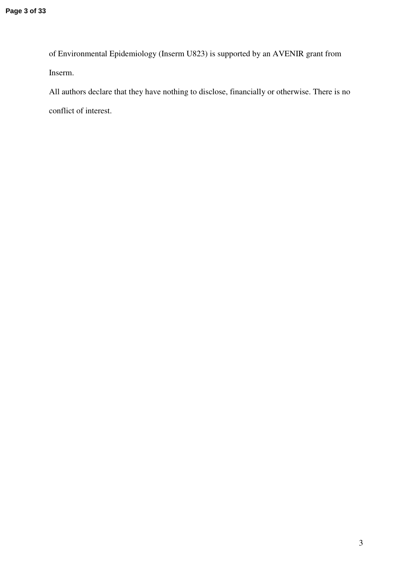of Environmental Epidemiology (Inserm U823) is supported by an AVENIR grant from Inserm.

All authors declare that they have nothing to disclose, financially or otherwise. There is no conflict of interest.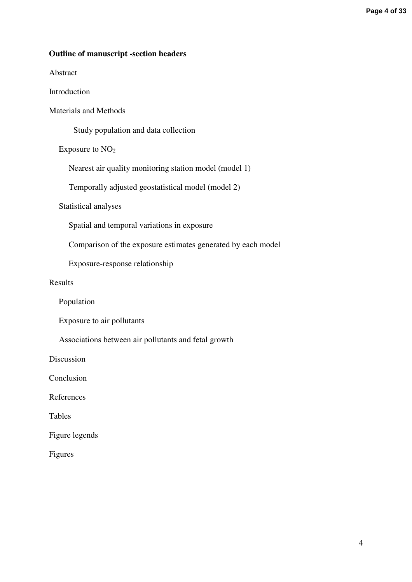#### **Outline of manuscript -section headers**

Abstract

Introduction

Materials and Methods

Study population and data collection

Exposure to  $NO<sub>2</sub>$ 

Nearest air quality monitoring station model (model 1)

Temporally adjusted geostatistical model (model 2)

Statistical analyses

Spatial and temporal variations in exposure

Comparison of the exposure estimates generated by each model

Exposure-response relationship

Results

Population

Exposure to air pollutants

Associations between air pollutants and fetal growth

Discussion

Conclusion

References

Tables

Figure legends

Figures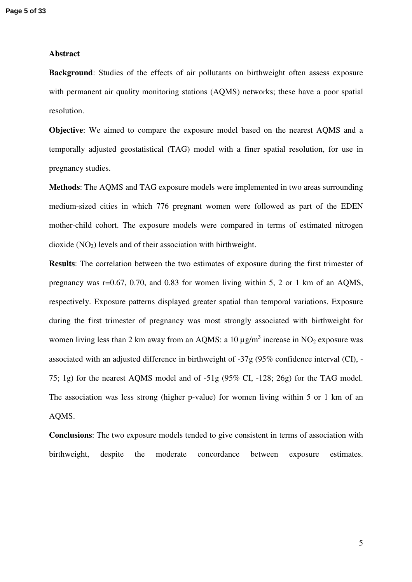#### **Abstract**

**Background:** Studies of the effects of air pollutants on birthweight often assess exposure with permanent air quality monitoring stations (AQMS) networks; these have a poor spatial resolution.

**Objective**: We aimed to compare the exposure model based on the nearest AQMS and a temporally adjusted geostatistical (TAG) model with a finer spatial resolution, for use in pregnancy studies.

**Methods**: The AQMS and TAG exposure models were implemented in two areas surrounding medium-sized cities in which 776 pregnant women were followed as part of the EDEN mother-child cohort. The exposure models were compared in terms of estimated nitrogen dioxide  $(NO<sub>2</sub>)$  levels and of their association with birthweight.

**Results**: The correlation between the two estimates of exposure during the first trimester of pregnancy was r=0.67, 0.70, and 0.83 for women living within 5, 2 or 1 km of an AQMS, respectively. Exposure patterns displayed greater spatial than temporal variations. Exposure during the first trimester of pregnancy was most strongly associated with birthweight for women living less than 2 km away from an AQMS: a 10  $\mu$ g/m<sup>3</sup> increase in NO<sub>2</sub> exposure was associated with an adjusted difference in birthweight of -37g (95% confidence interval (CI), - 75; 1g) for the nearest AQMS model and of -51g (95% CI, -128; 26g) for the TAG model. The association was less strong (higher p-value) for women living within 5 or 1 km of an AQMS.

**Conclusions**: The two exposure models tended to give consistent in terms of association with birthweight, despite the moderate concordance between exposure estimates.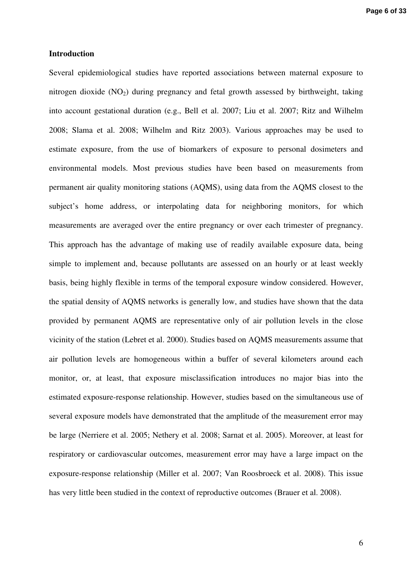#### **Introduction**

Several epidemiological studies have reported associations between maternal exposure to nitrogen dioxide  $(NO_2)$  during pregnancy and fetal growth assessed by birthweight, taking into account gestational duration (e.g., Bell et al. 2007; Liu et al. 2007; Ritz and Wilhelm 2008; Slama et al. 2008; Wilhelm and Ritz 2003). Various approaches may be used to estimate exposure, from the use of biomarkers of exposure to personal dosimeters and environmental models. Most previous studies have been based on measurements from permanent air quality monitoring stations (AQMS), using data from the AQMS closest to the subject's home address, or interpolating data for neighboring monitors, for which measurements are averaged over the entire pregnancy or over each trimester of pregnancy. This approach has the advantage of making use of readily available exposure data, being simple to implement and, because pollutants are assessed on an hourly or at least weekly basis, being highly flexible in terms of the temporal exposure window considered. However, the spatial density of AQMS networks is generally low, and studies have shown that the data provided by permanent AQMS are representative only of air pollution levels in the close vicinity of the station (Lebret et al. 2000). Studies based on AQMS measurements assume that air pollution levels are homogeneous within a buffer of several kilometers around each monitor, or, at least, that exposure misclassification introduces no major bias into the estimated exposure-response relationship. However, studies based on the simultaneous use of several exposure models have demonstrated that the amplitude of the measurement error may be large (Nerriere et al. 2005; Nethery et al. 2008; Sarnat et al. 2005). Moreover, at least for respiratory or cardiovascular outcomes, measurement error may have a large impact on the exposure-response relationship (Miller et al. 2007; Van Roosbroeck et al. 2008). This issue has very little been studied in the context of reproductive outcomes (Brauer et al. 2008).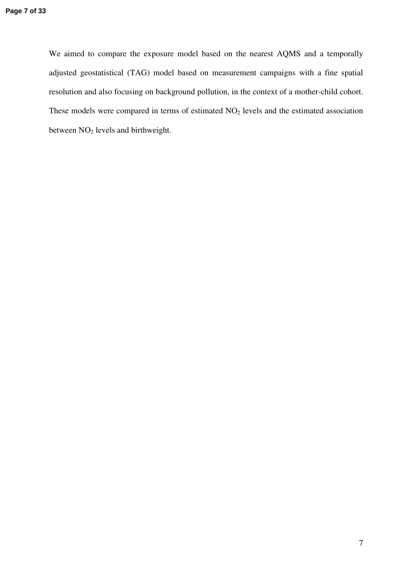We aimed to compare the exposure model based on the nearest AQMS and a temporally adjusted geostatistical (TAG) model based on measurement campaigns with a fine spatial resolution and also focusing on background pollution, in the context of a mother-child cohort. These models were compared in terms of estimated  $NO<sub>2</sub>$  levels and the estimated association between NO<sub>2</sub> levels and birthweight.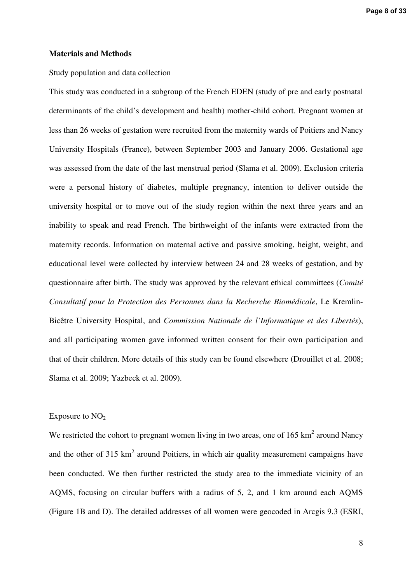#### **Materials and Methods**

#### Study population and data collection

This study was conducted in a subgroup of the French EDEN (study of pre and early postnatal determinants of the child's development and health) mother-child cohort. Pregnant women at less than 26 weeks of gestation were recruited from the maternity wards of Poitiers and Nancy University Hospitals (France), between September 2003 and January 2006. Gestational age was assessed from the date of the last menstrual period (Slama et al. 2009). Exclusion criteria were a personal history of diabetes, multiple pregnancy, intention to deliver outside the university hospital or to move out of the study region within the next three years and an inability to speak and read French. The birthweight of the infants were extracted from the maternity records. Information on maternal active and passive smoking, height, weight, and educational level were collected by interview between 24 and 28 weeks of gestation, and by questionnaire after birth. The study was approved by the relevant ethical committees (*Comité Consultatif pour la Protection des Personnes dans la Recherche Biomédicale*, Le Kremlin-Bicêtre University Hospital, and *Commission Nationale de l'Informatique et des Libertés*), and all participating women gave informed written consent for their own participation and that of their children. More details of this study can be found elsewhere (Drouillet et al. 2008; Slama et al. 2009; Yazbeck et al. 2009).

#### Exposure to  $NO<sub>2</sub>$

We restricted the cohort to pregnant women living in two areas, one of  $165 \text{ km}^2$  around Nancy and the other of 315  $km^2$  around Poitiers, in which air quality measurement campaigns have been conducted. We then further restricted the study area to the immediate vicinity of an AQMS, focusing on circular buffers with a radius of 5, 2, and 1 km around each AQMS (Figure 1B and D). The detailed addresses of all women were geocoded in Arcgis 9.3 (ESRI,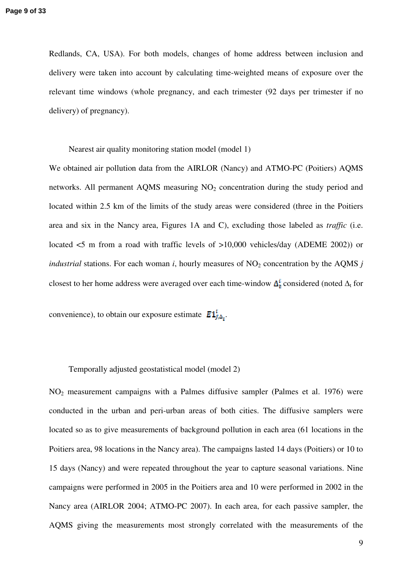Redlands, CA, USA). For both models, changes of home address between inclusion and delivery were taken into account by calculating time-weighted means of exposure over the relevant time windows (whole pregnancy, and each trimester (92 days per trimester if no delivery) of pregnancy).

Nearest air quality monitoring station model (model 1)

We obtained air pollution data from the AIRLOR (Nancy) and ATMO-PC (Poitiers) AQMS networks. All permanent AQMS measuring NO<sub>2</sub> concentration during the study period and located within 2.5 km of the limits of the study areas were considered (three in the Poitiers area and six in the Nancy area, Figures 1A and C), excluding those labeled as *traffic* (i.e. located <5 m from a road with traffic levels of >10,000 vehicles/day (ADEME 2002)) or *industrial* stations. For each woman *i*, hourly measures of  $NO<sub>2</sub>$  concentration by the AQMS *j* closest to her home address were averaged over each time-window  $\Delta_t^t$  considered (noted  $\Delta_t$  for

convenience), to obtain our exposure estimate  $E1_{i,\Delta_{\tau}}^{i}$ .

#### Temporally adjusted geostatistical model (model 2)

NO2 measurement campaigns with a Palmes diffusive sampler (Palmes et al. 1976) were conducted in the urban and peri-urban areas of both cities. The diffusive samplers were located so as to give measurements of background pollution in each area (61 locations in the Poitiers area, 98 locations in the Nancy area). The campaigns lasted 14 days (Poitiers) or 10 to 15 days (Nancy) and were repeated throughout the year to capture seasonal variations. Nine campaigns were performed in 2005 in the Poitiers area and 10 were performed in 2002 in the Nancy area (AIRLOR 2004; ATMO-PC 2007). In each area, for each passive sampler, the AQMS giving the measurements most strongly correlated with the measurements of the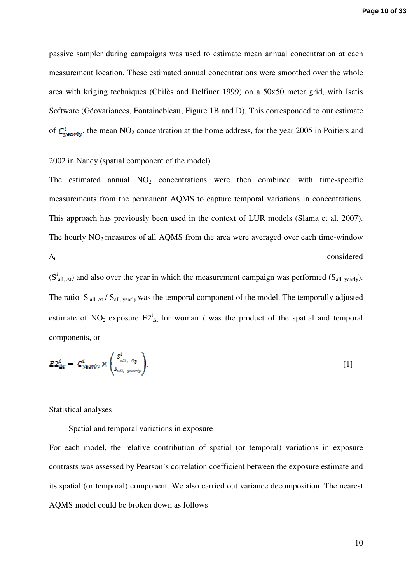passive sampler during campaigns was used to estimate mean annual concentration at each measurement location. These estimated annual concentrations were smoothed over the whole area with kriging techniques (Chilès and Delfiner 1999) on a 50x50 meter grid, with Isatis Software (Géovariances, Fontainebleau; Figure 1B and D). This corresponded to our estimate of  $C_{\text{yearly}}^i$ , the mean NO<sub>2</sub> concentration at the home address, for the year 2005 in Poitiers and

2002 in Nancy (spatial component of the model).

The estimated annual  $NO<sub>2</sub>$  concentrations were then combined with time-specific measurements from the permanent AQMS to capture temporal variations in concentrations. This approach has previously been used in the context of LUR models (Slama et al. 2007). The hourly  $NO<sub>2</sub>$  measures of all AQMS from the area were averaged over each time-window  $\Delta_t$  considered

 $(S<sup>i</sup><sub>all,  $\Delta t$</sub> )$  and also over the year in which the measurement campaign was performed  $(S<sub>all, yearly</sub>)$ . The ratio  $S<sup>i</sup>$ <sub>all,  $\Delta t$ </sub> /  $S<sub>all, yearly</sub>$  was the temporal component of the model. The temporally adjusted estimate of NO<sub>2</sub> exposure  $E2_{\Delta t}^{i}$  for woman *i* was the product of the spatial and temporal components, or

$$
E2_{\Delta t}^{i} = C_{yearly}^{i} \times \left(\frac{s_{all, \Delta t}^{i}}{s_{all, yearly}}\right).
$$

Statistical analyses

Spatial and temporal variations in exposure

For each model, the relative contribution of spatial (or temporal) variations in exposure contrasts was assessed by Pearson's correlation coefficient between the exposure estimate and its spatial (or temporal) component. We also carried out variance decomposition. The nearest AQMS model could be broken down as follows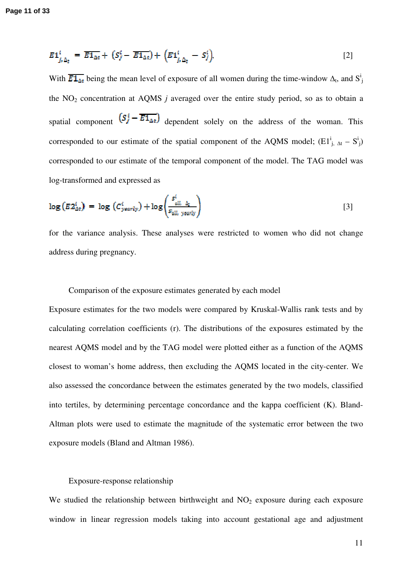$$
E1_{j_{i}\Delta_{t}}^{i} = \overline{E1_{\Delta t}} + (S_{f}^{i} - \overline{E1_{\Delta t}}) + (E1_{j_{i}\Delta_{t}}^{i} - S_{f}^{i}),
$$
\n[2]

With  $\overline{E1_{\Delta t}}$  being the mean level of exposure of all women during the time-window  $\Delta_t$ , and  $S_j^i$ the  $NO<sub>2</sub>$  concentration at AQMS *j* averaged over the entire study period, so as to obtain a spatial component  $(S_j^i - \overline{E_1}_{\Delta t})$  dependent solely on the address of the woman. This corresponded to our estimate of the spatial component of the AQMS model;  $(E1^i_{j, \Delta t} - S^i_{j})$ corresponded to our estimate of the temporal component of the model. The TAG model was log-transformed and expressed as

$$
\log(E2_{\Delta t}^{i}) = \log(C_{\text{yearly}}^{i}) + \log\left(\frac{s_{\text{all, } \Delta_{t}}^{i}}{s_{\text{all, yearly}}}\right)
$$
 [3]

for the variance analysis. These analyses were restricted to women who did not change address during pregnancy.

#### Comparison of the exposure estimates generated by each model

Exposure estimates for the two models were compared by Kruskal-Wallis rank tests and by calculating correlation coefficients (r). The distributions of the exposures estimated by the nearest AQMS model and by the TAG model were plotted either as a function of the AQMS closest to woman's home address, then excluding the AQMS located in the city-center. We also assessed the concordance between the estimates generated by the two models, classified into tertiles, by determining percentage concordance and the kappa coefficient (K). Bland-Altman plots were used to estimate the magnitude of the systematic error between the two exposure models (Bland and Altman 1986).

#### Exposure-response relationship

We studied the relationship between birthweight and  $NO<sub>2</sub>$  exposure during each exposure window in linear regression models taking into account gestational age and adjustment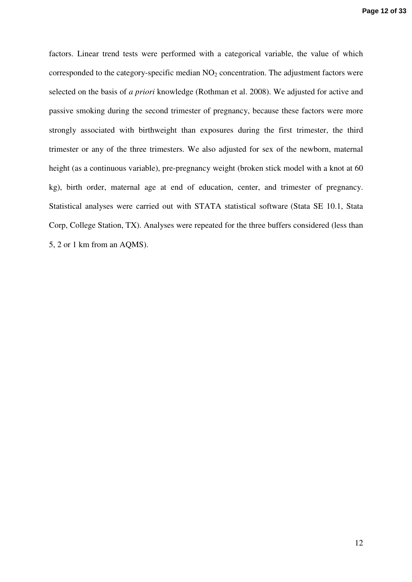factors. Linear trend tests were performed with a categorical variable, the value of which corresponded to the category-specific median  $NO<sub>2</sub>$  concentration. The adjustment factors were selected on the basis of *a priori* knowledge (Rothman et al. 2008). We adjusted for active and passive smoking during the second trimester of pregnancy, because these factors were more strongly associated with birthweight than exposures during the first trimester, the third trimester or any of the three trimesters. We also adjusted for sex of the newborn, maternal height (as a continuous variable), pre-pregnancy weight (broken stick model with a knot at 60 kg), birth order, maternal age at end of education, center, and trimester of pregnancy. Statistical analyses were carried out with STATA statistical software (Stata SE 10.1, Stata Corp, College Station, TX). Analyses were repeated for the three buffers considered (less than 5, 2 or 1 km from an AQMS).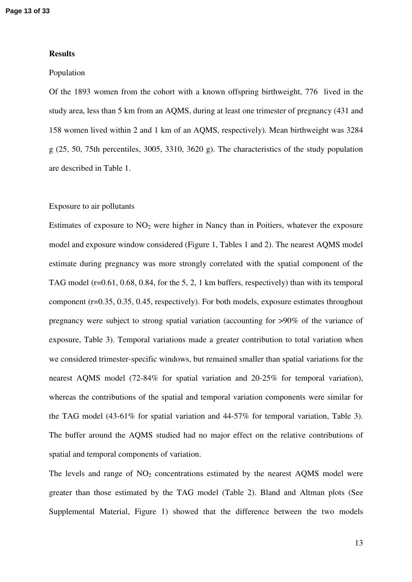#### **Results**

#### Population

Of the 1893 women from the cohort with a known offspring birthweight, 776 lived in the study area, less than 5 km from an AQMS, during at least one trimester of pregnancy (431 and 158 women lived within 2 and 1 km of an AQMS, respectively). Mean birthweight was 3284 g (25, 50, 75th percentiles, 3005, 3310, 3620 g). The characteristics of the study population are described in Table 1.

#### Exposure to air pollutants

Estimates of exposure to  $NO<sub>2</sub>$  were higher in Nancy than in Poitiers, whatever the exposure model and exposure window considered (Figure 1, Tables 1 and 2). The nearest AQMS model estimate during pregnancy was more strongly correlated with the spatial component of the TAG model (r=0.61, 0.68, 0.84, for the 5, 2, 1 km buffers, respectively) than with its temporal component (r=0.35, 0.35, 0.45, respectively). For both models, exposure estimates throughout pregnancy were subject to strong spatial variation (accounting for >90% of the variance of exposure, Table 3). Temporal variations made a greater contribution to total variation when we considered trimester-specific windows, but remained smaller than spatial variations for the nearest AQMS model (72-84% for spatial variation and 20-25% for temporal variation), whereas the contributions of the spatial and temporal variation components were similar for the TAG model (43-61% for spatial variation and 44-57% for temporal variation, Table 3). The buffer around the AQMS studied had no major effect on the relative contributions of spatial and temporal components of variation.

The levels and range of  $NO<sub>2</sub>$  concentrations estimated by the nearest AQMS model were greater than those estimated by the TAG model (Table 2). Bland and Altman plots (See Supplemental Material, Figure 1) showed that the difference between the two models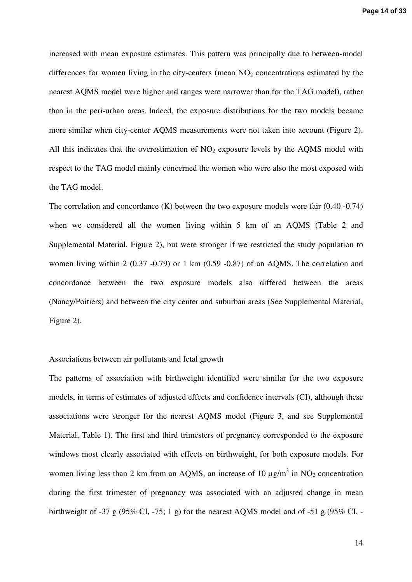increased with mean exposure estimates. This pattern was principally due to between-model differences for women living in the city-centers (mean  $NO<sub>2</sub>$  concentrations estimated by the nearest AQMS model were higher and ranges were narrower than for the TAG model), rather than in the peri-urban areas. Indeed, the exposure distributions for the two models became more similar when city-center AQMS measurements were not taken into account (Figure 2). All this indicates that the overestimation of  $NO<sub>2</sub>$  exposure levels by the AOMS model with respect to the TAG model mainly concerned the women who were also the most exposed with the TAG model.

The correlation and concordance (K) between the two exposure models were fair (0.40 -0.74) when we considered all the women living within 5 km of an AQMS (Table 2 and Supplemental Material, Figure 2), but were stronger if we restricted the study population to women living within 2 (0.37 -0.79) or 1 km (0.59 -0.87) of an AQMS. The correlation and concordance between the two exposure models also differed between the areas (Nancy/Poitiers) and between the city center and suburban areas (See Supplemental Material, Figure 2).

#### Associations between air pollutants and fetal growth

The patterns of association with birthweight identified were similar for the two exposure models, in terms of estimates of adjusted effects and confidence intervals (CI), although these associations were stronger for the nearest AQMS model (Figure 3, and see Supplemental Material, Table 1). The first and third trimesters of pregnancy corresponded to the exposure windows most clearly associated with effects on birthweight, for both exposure models. For women living less than 2 km from an AQMS, an increase of 10  $\mu$ g/m<sup>3</sup> in NO<sub>2</sub> concentration during the first trimester of pregnancy was associated with an adjusted change in mean birthweight of -37 g (95% CI, -75; 1 g) for the nearest AQMS model and of -51 g (95% CI, -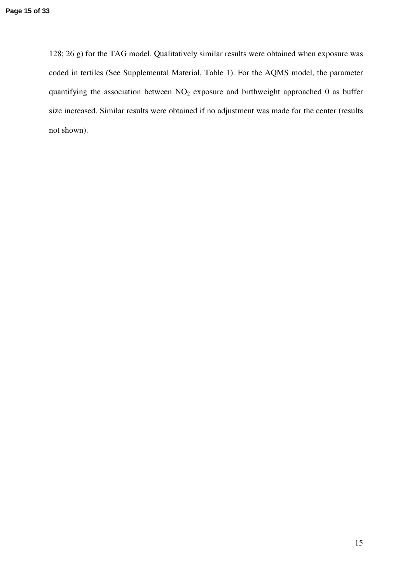128; 26 g) for the TAG model. Qualitatively similar results were obtained when exposure was coded in tertiles (See Supplemental Material, Table 1). For the AQMS model, the parameter quantifying the association between  $NO<sub>2</sub>$  exposure and birthweight approached 0 as buffer size increased. Similar results were obtained if no adjustment was made for the center (results not shown).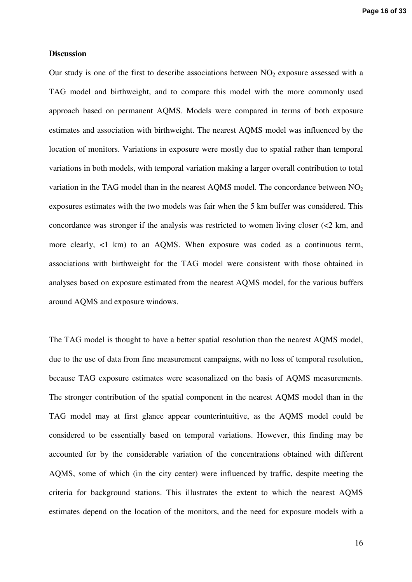#### **Discussion**

Our study is one of the first to describe associations between  $NO<sub>2</sub>$  exposure assessed with a TAG model and birthweight, and to compare this model with the more commonly used approach based on permanent AQMS. Models were compared in terms of both exposure estimates and association with birthweight. The nearest AQMS model was influenced by the location of monitors. Variations in exposure were mostly due to spatial rather than temporal variations in both models, with temporal variation making a larger overall contribution to total variation in the TAG model than in the nearest AQMS model. The concordance between  $NO<sub>2</sub>$ exposures estimates with the two models was fair when the 5 km buffer was considered. This concordance was stronger if the analysis was restricted to women living closer  $\ll$ 2 km, and more clearly, <1 km) to an AQMS. When exposure was coded as a continuous term, associations with birthweight for the TAG model were consistent with those obtained in analyses based on exposure estimated from the nearest AQMS model, for the various buffers around AQMS and exposure windows.

The TAG model is thought to have a better spatial resolution than the nearest AQMS model, due to the use of data from fine measurement campaigns, with no loss of temporal resolution, because TAG exposure estimates were seasonalized on the basis of AQMS measurements. The stronger contribution of the spatial component in the nearest AQMS model than in the TAG model may at first glance appear counterintuitive, as the AQMS model could be considered to be essentially based on temporal variations. However, this finding may be accounted for by the considerable variation of the concentrations obtained with different AQMS, some of which (in the city center) were influenced by traffic, despite meeting the criteria for background stations. This illustrates the extent to which the nearest AQMS estimates depend on the location of the monitors, and the need for exposure models with a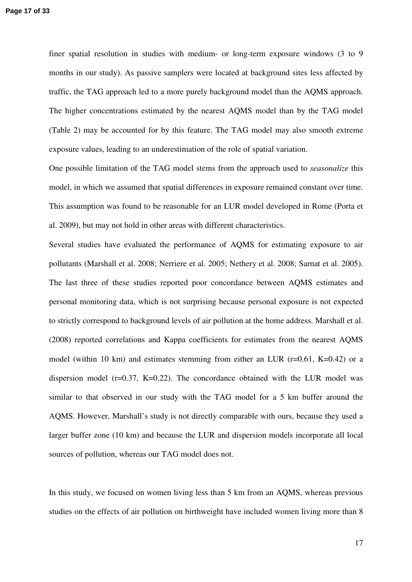finer spatial resolution in studies with medium- or long-term exposure windows (3 to 9 months in our study). As passive samplers were located at background sites less affected by traffic, the TAG approach led to a more purely background model than the AQMS approach. The higher concentrations estimated by the nearest AQMS model than by the TAG model (Table 2) may be accounted for by this feature. The TAG model may also smooth extreme exposure values, leading to an underestimation of the role of spatial variation.

One possible limitation of the TAG model stems from the approach used to *seasonalize* this model, in which we assumed that spatial differences in exposure remained constant over time. This assumption was found to be reasonable for an LUR model developed in Rome (Porta et al. 2009), but may not hold in other areas with different characteristics.

Several studies have evaluated the performance of AQMS for estimating exposure to air pollutants (Marshall et al. 2008; Nerriere et al. 2005; Nethery et al. 2008; Sarnat et al. 2005). The last three of these studies reported poor concordance between AQMS estimates and personal monitoring data, which is not surprising because personal exposure is not expected to strictly correspond to background levels of air pollution at the home address. Marshall et al. (2008) reported correlations and Kappa coefficients for estimates from the nearest AQMS model (within 10 km) and estimates stemming from either an LUR (r=0.61, K=0.42) or a dispersion model ( $r=0.37$ , K $=0.22$ ). The concordance obtained with the LUR model was similar to that observed in our study with the TAG model for a 5 km buffer around the AQMS. However, Marshall's study is not directly comparable with ours, because they used a larger buffer zone (10 km) and because the LUR and dispersion models incorporate all local sources of pollution, whereas our TAG model does not.

In this study, we focused on women living less than 5 km from an AQMS, whereas previous studies on the effects of air pollution on birthweight have included women living more than 8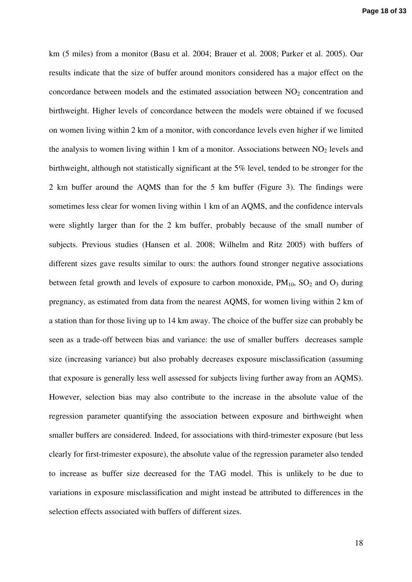km (5 miles) from a monitor (Basu et al. 2004; Brauer et al. 2008; Parker et al. 2005). Our results indicate that the size of buffer around monitors considered has a major effect on the concordance between models and the estimated association between  $NO<sub>2</sub>$  concentration and birthweight. Higher levels of concordance between the models were obtained if we focused on women living within 2 km of a monitor, with concordance levels even higher if we limited the analysis to women living within 1 km of a monitor. Associations between  $NO<sub>2</sub>$  levels and birthweight, although not statistically significant at the 5% level, tended to be stronger for the 2 km buffer around the AQMS than for the 5 km buffer (Figure 3). The findings were sometimes less clear for women living within 1 km of an AQMS, and the confidence intervals were slightly larger than for the 2 km buffer, probably because of the small number of subjects. Previous studies (Hansen et al. 2008; Wilhelm and Ritz 2005) with buffers of different sizes gave results similar to ours: the authors found stronger negative associations between fetal growth and levels of exposure to carbon monoxide,  $PM_{10}$ ,  $SO_2$  and  $O_3$  during pregnancy, as estimated from data from the nearest AQMS, for women living within 2 km of a station than for those living up to 14 km away. The choice of the buffer size can probably be seen as a trade-off between bias and variance: the use of smaller buffers decreases sample size (increasing variance) but also probably decreases exposure misclassification (assuming that exposure is generally less well assessed for subjects living further away from an AQMS). However, selection bias may also contribute to the increase in the absolute value of the regression parameter quantifying the association between exposure and birthweight when smaller buffers are considered. Indeed, for associations with third-trimester exposure (but less clearly for first-trimester exposure), the absolute value of the regression parameter also tended to increase as buffer size decreased for the TAG model. This is unlikely to be due to variations in exposure misclassification and might instead be attributed to differences in the selection effects associated with buffers of different sizes.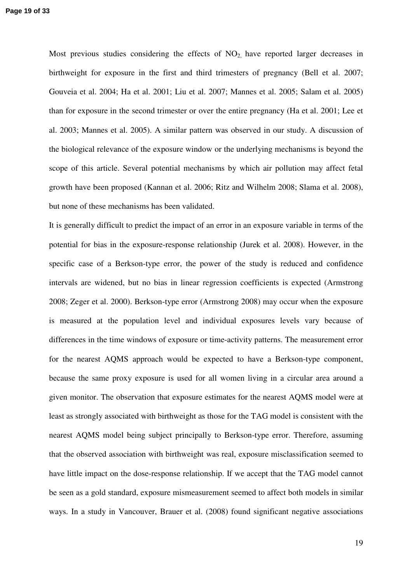**Page 19 of 33**

Most previous studies considering the effects of  $NO<sub>2</sub>$  have reported larger decreases in birthweight for exposure in the first and third trimesters of pregnancy (Bell et al. 2007; Gouveia et al. 2004; Ha et al. 2001; Liu et al. 2007; Mannes et al. 2005; Salam et al. 2005) than for exposure in the second trimester or over the entire pregnancy (Ha et al. 2001; Lee et al. 2003; Mannes et al. 2005). A similar pattern was observed in our study. A discussion of the biological relevance of the exposure window or the underlying mechanisms is beyond the scope of this article. Several potential mechanisms by which air pollution may affect fetal growth have been proposed (Kannan et al. 2006; Ritz and Wilhelm 2008; Slama et al. 2008), but none of these mechanisms has been validated.

It is generally difficult to predict the impact of an error in an exposure variable in terms of the potential for bias in the exposure-response relationship (Jurek et al. 2008). However, in the specific case of a Berkson-type error, the power of the study is reduced and confidence intervals are widened, but no bias in linear regression coefficients is expected (Armstrong 2008; Zeger et al. 2000). Berkson-type error (Armstrong 2008) may occur when the exposure is measured at the population level and individual exposures levels vary because of differences in the time windows of exposure or time-activity patterns. The measurement error for the nearest AQMS approach would be expected to have a Berkson-type component, because the same proxy exposure is used for all women living in a circular area around a given monitor. The observation that exposure estimates for the nearest AQMS model were at least as strongly associated with birthweight as those for the TAG model is consistent with the nearest AQMS model being subject principally to Berkson-type error. Therefore, assuming that the observed association with birthweight was real, exposure misclassification seemed to have little impact on the dose-response relationship. If we accept that the TAG model cannot be seen as a gold standard, exposure mismeasurement seemed to affect both models in similar ways. In a study in Vancouver, Brauer et al. (2008) found significant negative associations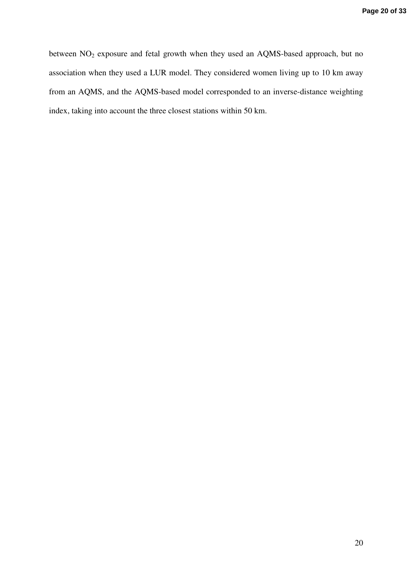between NO<sub>2</sub> exposure and fetal growth when they used an AQMS-based approach, but no association when they used a LUR model. They considered women living up to 10 km away from an AQMS, and the AQMS-based model corresponded to an inverse-distance weighting index, taking into account the three closest stations within 50 km.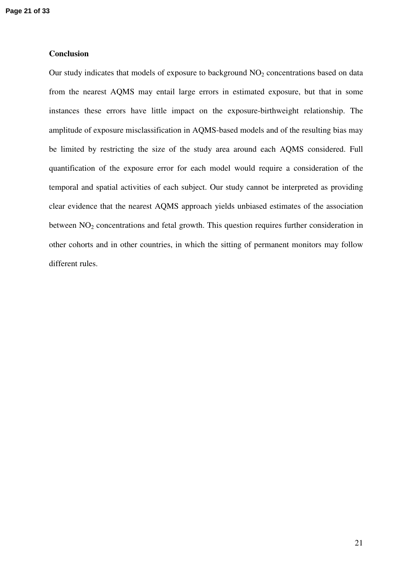#### **Conclusion**

Our study indicates that models of exposure to background  $NO<sub>2</sub>$  concentrations based on data from the nearest AQMS may entail large errors in estimated exposure, but that in some instances these errors have little impact on the exposure-birthweight relationship. The amplitude of exposure misclassification in AQMS-based models and of the resulting bias may be limited by restricting the size of the study area around each AQMS considered. Full quantification of the exposure error for each model would require a consideration of the temporal and spatial activities of each subject. Our study cannot be interpreted as providing clear evidence that the nearest AQMS approach yields unbiased estimates of the association between NO<sub>2</sub> concentrations and fetal growth. This question requires further consideration in other cohorts and in other countries, in which the sitting of permanent monitors may follow different rules.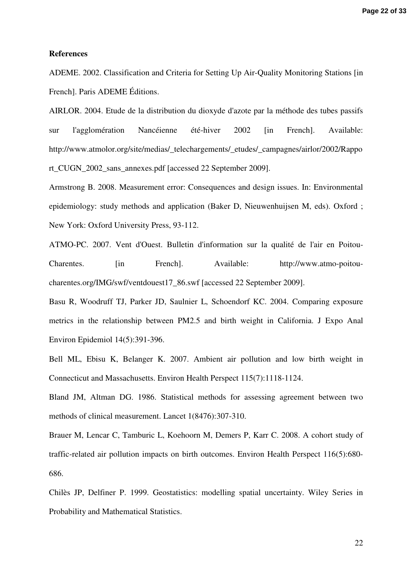#### **References**

ADEME. 2002. Classification and Criteria for Setting Up Air-Quality Monitoring Stations [in French]. Paris ADEME Éditions.

AIRLOR. 2004. Etude de la distribution du dioxyde d'azote par la méthode des tubes passifs sur l'agglomération Nancéienne été-hiver 2002 [in French]. Available: http://www.atmolor.org/site/medias/\_telechargements/\_etudes/\_campagnes/airlor/2002/Rappo rt CUGN 2002 sans annexes.pdf [accessed 22 September 2009].

Armstrong B. 2008. Measurement error: Consequences and design issues. In: Environmental epidemiology: study methods and application (Baker D, Nieuwenhuijsen M, eds). Oxford ; New York: Oxford University Press, 93-112.

ATMO-PC. 2007. Vent d'Ouest. Bulletin d'information sur la qualité de l'air en Poitou-Charentes. [in French]. Available: http://www.atmo-poitoucharentes.org/IMG/swf/ventdouest17\_86.swf [accessed 22 September 2009].

Basu R, Woodruff TJ, Parker JD, Saulnier L, Schoendorf KC. 2004. Comparing exposure metrics in the relationship between PM2.5 and birth weight in California. J Expo Anal Environ Epidemiol 14(5):391-396.

Bell ML, Ebisu K, Belanger K. 2007. Ambient air pollution and low birth weight in Connecticut and Massachusetts. Environ Health Perspect 115(7):1118-1124.

Bland JM, Altman DG. 1986. Statistical methods for assessing agreement between two methods of clinical measurement. Lancet 1(8476):307-310.

Brauer M, Lencar C, Tamburic L, Koehoorn M, Demers P, Karr C. 2008. A cohort study of traffic-related air pollution impacts on birth outcomes. Environ Health Perspect 116(5):680- 686.

Chilès JP, Delfiner P. 1999. Geostatistics: modelling spatial uncertainty. Wiley Series in Probability and Mathematical Statistics.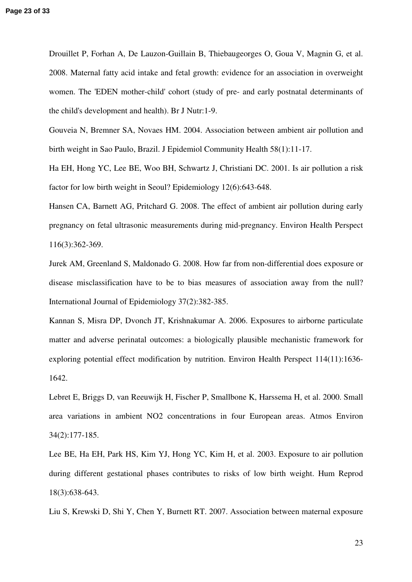Drouillet P, Forhan A, De Lauzon-Guillain B, Thiebaugeorges O, Goua V, Magnin G, et al. 2008. Maternal fatty acid intake and fetal growth: evidence for an association in overweight women. The 'EDEN mother-child' cohort (study of pre- and early postnatal determinants of the child's development and health). Br J Nutr:1-9.

Gouveia N, Bremner SA, Novaes HM. 2004. Association between ambient air pollution and birth weight in Sao Paulo, Brazil. J Epidemiol Community Health 58(1):11-17.

Ha EH, Hong YC, Lee BE, Woo BH, Schwartz J, Christiani DC. 2001. Is air pollution a risk factor for low birth weight in Seoul? Epidemiology 12(6):643-648.

Hansen CA, Barnett AG, Pritchard G. 2008. The effect of ambient air pollution during early pregnancy on fetal ultrasonic measurements during mid-pregnancy. Environ Health Perspect 116(3):362-369.

Jurek AM, Greenland S, Maldonado G. 2008. How far from non-differential does exposure or disease misclassification have to be to bias measures of association away from the null? International Journal of Epidemiology 37(2):382-385.

Kannan S, Misra DP, Dvonch JT, Krishnakumar A. 2006. Exposures to airborne particulate matter and adverse perinatal outcomes: a biologically plausible mechanistic framework for exploring potential effect modification by nutrition. Environ Health Perspect 114(11):1636- 1642.

Lebret E, Briggs D, van Reeuwijk H, Fischer P, Smallbone K, Harssema H, et al. 2000. Small area variations in ambient NO2 concentrations in four European areas. Atmos Environ 34(2):177-185.

Lee BE, Ha EH, Park HS, Kim YJ, Hong YC, Kim H, et al. 2003. Exposure to air pollution during different gestational phases contributes to risks of low birth weight. Hum Reprod 18(3):638-643.

Liu S, Krewski D, Shi Y, Chen Y, Burnett RT. 2007. Association between maternal exposure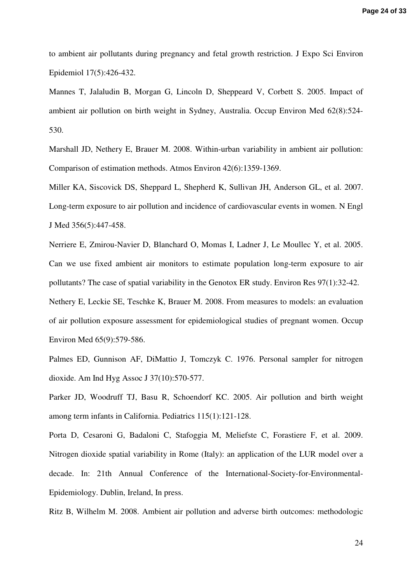to ambient air pollutants during pregnancy and fetal growth restriction. J Expo Sci Environ Epidemiol 17(5):426-432.

Mannes T, Jalaludin B, Morgan G, Lincoln D, Sheppeard V, Corbett S. 2005. Impact of ambient air pollution on birth weight in Sydney, Australia. Occup Environ Med 62(8):524- 530.

Marshall JD, Nethery E, Brauer M. 2008. Within-urban variability in ambient air pollution: Comparison of estimation methods. Atmos Environ 42(6):1359-1369.

Miller KA, Siscovick DS, Sheppard L, Shepherd K, Sullivan JH, Anderson GL, et al. 2007. Long-term exposure to air pollution and incidence of cardiovascular events in women. N Engl J Med 356(5):447-458.

Nerriere E, Zmirou-Navier D, Blanchard O, Momas I, Ladner J, Le Moullec Y, et al. 2005. Can we use fixed ambient air monitors to estimate population long-term exposure to air pollutants? The case of spatial variability in the Genotox ER study. Environ Res 97(1):32-42.

Nethery E, Leckie SE, Teschke K, Brauer M. 2008. From measures to models: an evaluation of air pollution exposure assessment for epidemiological studies of pregnant women. Occup Environ Med 65(9):579-586.

Palmes ED, Gunnison AF, DiMattio J, Tomczyk C. 1976. Personal sampler for nitrogen dioxide. Am Ind Hyg Assoc J 37(10):570-577.

Parker JD, Woodruff TJ, Basu R, Schoendorf KC. 2005. Air pollution and birth weight among term infants in California. Pediatrics 115(1):121-128.

Porta D, Cesaroni G, Badaloni C, Stafoggia M, Meliefste C, Forastiere F, et al. 2009. Nitrogen dioxide spatial variability in Rome (Italy): an application of the LUR model over a decade. In: 21th Annual Conference of the International-Society-for-Environmental-Epidemiology. Dublin, Ireland, In press.

Ritz B, Wilhelm M. 2008. Ambient air pollution and adverse birth outcomes: methodologic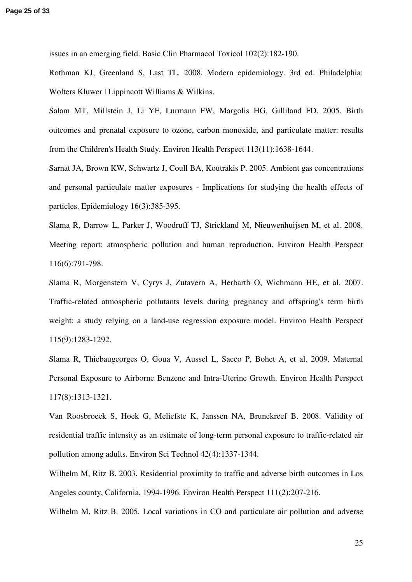issues in an emerging field. Basic Clin Pharmacol Toxicol 102(2):182-190.

Rothman KJ, Greenland S, Last TL. 2008. Modern epidemiology. 3rd ed. Philadelphia: Wolters Kluwer | Lippincott Williams & Wilkins.

Salam MT, Millstein J, Li YF, Lurmann FW, Margolis HG, Gilliland FD. 2005. Birth outcomes and prenatal exposure to ozone, carbon monoxide, and particulate matter: results from the Children's Health Study. Environ Health Perspect 113(11):1638-1644.

Sarnat JA, Brown KW, Schwartz J, Coull BA, Koutrakis P. 2005. Ambient gas concentrations and personal particulate matter exposures - Implications for studying the health effects of particles. Epidemiology 16(3):385-395.

Slama R, Darrow L, Parker J, Woodruff TJ, Strickland M, Nieuwenhuijsen M, et al. 2008. Meeting report: atmospheric pollution and human reproduction. Environ Health Perspect 116(6):791-798.

Slama R, Morgenstern V, Cyrys J, Zutavern A, Herbarth O, Wichmann HE, et al. 2007. Traffic-related atmospheric pollutants levels during pregnancy and offspring's term birth weight: a study relying on a land-use regression exposure model. Environ Health Perspect 115(9):1283-1292.

Slama R, Thiebaugeorges O, Goua V, Aussel L, Sacco P, Bohet A, et al. 2009. Maternal Personal Exposure to Airborne Benzene and Intra-Uterine Growth. Environ Health Perspect 117(8):1313-1321.

Van Roosbroeck S, Hoek G, Meliefste K, Janssen NA, Brunekreef B. 2008. Validity of residential traffic intensity as an estimate of long-term personal exposure to traffic-related air pollution among adults. Environ Sci Technol 42(4):1337-1344.

Wilhelm M, Ritz B. 2003. Residential proximity to traffic and adverse birth outcomes in Los Angeles county, California, 1994-1996. Environ Health Perspect 111(2):207-216.

Wilhelm M, Ritz B. 2005. Local variations in CO and particulate air pollution and adverse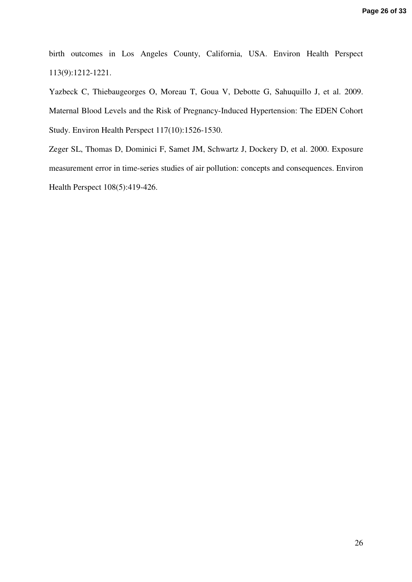birth outcomes in Los Angeles County, California, USA. Environ Health Perspect 113(9):1212-1221.

Yazbeck C, Thiebaugeorges O, Moreau T, Goua V, Debotte G, Sahuquillo J, et al. 2009. Maternal Blood Levels and the Risk of Pregnancy-Induced Hypertension: The EDEN Cohort Study. Environ Health Perspect 117(10):1526-1530.

Zeger SL, Thomas D, Dominici F, Samet JM, Schwartz J, Dockery D, et al. 2000. Exposure measurement error in time-series studies of air pollution: concepts and consequences. Environ Health Perspect 108(5):419-426.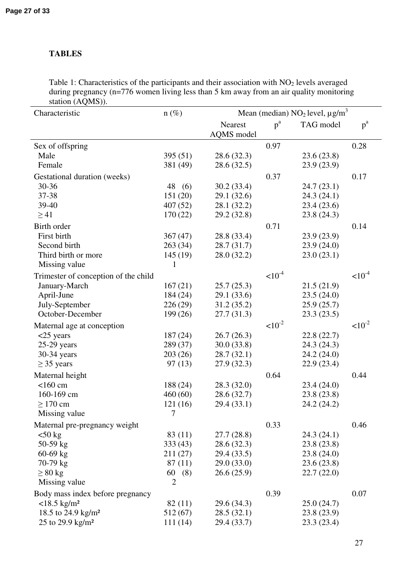### **TABLES**

Table 1: Characteristics of the participants and their association with  $NO<sub>2</sub>$  levels averaged during pregnancy (n=776 women living less than 5 km away from an air quality monitoring station  $(AOMS)$ ).

| $\frac{1}{2}$<br>Characteristic           | $n (\%)$        | Mean (median) $NO_2$ level, $\mu g/m^3$ |             |             |             |
|-------------------------------------------|-----------------|-----------------------------------------|-------------|-------------|-------------|
|                                           |                 | Nearest                                 | $p^a$       | TAG model   | $p^a$       |
|                                           |                 | <b>AQMS</b> model                       | 0.97        |             | 0.28        |
| Sex of offspring<br>Male                  | 395(51)         | 28.6(32.3)                              |             | 23.6(23.8)  |             |
| Female                                    | 381 (49)        | 28.6(32.5)                              |             | 23.9(23.9)  |             |
|                                           |                 |                                         |             |             |             |
| Gestational duration (weeks)<br>$30 - 36$ | 48 (6)          | 30.2(33.4)                              | 0.37        | 24.7(23.1)  | 0.17        |
| 37-38                                     | 151 (20)        | 29.1(32.6)                              |             | 24.3(24.1)  |             |
| 39-40                                     | 407(52)         | 28.1 (32.2)                             |             | 23.4(23.6)  |             |
| $\geq$ 41                                 | 170(22)         | 29.2 (32.8)                             |             | 23.8(24.3)  |             |
| Birth order                               |                 |                                         | 0.71        |             | 0.14        |
| First birth                               | 367(47)         | 28.8 (33.4)                             |             | 23.9(23.9)  |             |
| Second birth                              | 263(34)         | 28.7 (31.7)                             |             | 23.9(24.0)  |             |
| Third birth or more                       | 145(19)         | 28.0(32.2)                              |             | 23.0(23.1)  |             |
| Missing value                             | 1               |                                         |             |             |             |
| Trimester of conception of the child      |                 |                                         | $< 10^{-4}$ |             | $< 10^{-4}$ |
| January-March                             | 167(21)         | 25.7(25.3)                              |             | 21.5(21.9)  |             |
| April-June                                | 184 (24)        | 29.1(33.6)                              |             | 23.5(24.0)  |             |
| July-September                            | 226(29)         | 31.2(35.2)                              |             | 25.9(25.7)  |             |
| October-December                          | 199(26)         | 27.7(31.3)                              |             | 23.3(23.5)  |             |
| Maternal age at conception                |                 |                                         | $< 10^{-2}$ |             | $< 10^{-2}$ |
| $<$ 25 years                              | 187(24)         | 26.7(26.3)                              |             | 22.8 (22.7) |             |
| $25-29$ years                             | 289 (37)        | 30.0(33.8)                              |             | 24.3 (24.3) |             |
| 30-34 years                               | 203(26)         | 28.7(32.1)                              |             | 24.2 (24.0) |             |
| $\geq$ 35 years                           | 97(13)          | 27.9(32.3)                              |             | 22.9(23.4)  |             |
| Maternal height                           |                 |                                         | 0.64        |             | 0.44        |
| $<$ 160 cm                                | 188 (24)        | 28.3(32.0)                              |             | 23.4(24.0)  |             |
| 160-169 cm                                | 460(60)         | 28.6 (32.7)                             |             | 23.8(23.8)  |             |
| $\geq$ 170 cm                             | 121(16)         | 29.4(33.1)                              |             | 24.2 (24.2) |             |
| Missing value                             | $7\overline{ }$ |                                         |             |             |             |
| Maternal pre-pregnancy weight             |                 |                                         | 0.33        |             | 0.46        |
| $50 \text{ kg}$                           | 83 (11)         | 27.7(28.8)                              |             | 24.3 (24.1) |             |
| 50-59 kg                                  | 333(43)         | 28.6 (32.3)                             |             | 23.8(23.8)  |             |
| $60-69$ kg                                | 211(27)         | 29.4 (33.5)                             |             | 23.8(24.0)  |             |
| 70-79 kg                                  | 87(11)          | 29.0(33.0)                              |             | 23.6(23.8)  |             |
| $\geq 80$ kg                              | 60<br>(8)       | 26.6(25.9)                              |             | 22.7(22.0)  |             |
| Missing value                             | $\overline{2}$  |                                         |             |             |             |
| Body mass index before pregnancy          |                 |                                         | 0.39        |             | 0.07        |
| $<$ 18.5 kg/m <sup>2</sup>                | 82 (11)         | 29.6 (34.3)                             |             | 25.0(24.7)  |             |
| 18.5 to 24.9 kg/m <sup>2</sup>            | 512 (67)        | 28.5(32.1)                              |             | 23.8(23.9)  |             |
| 25 to 29.9 kg/m <sup>2</sup>              | 111 (14)        | 29.4 (33.7)                             |             | 23.3(23.4)  |             |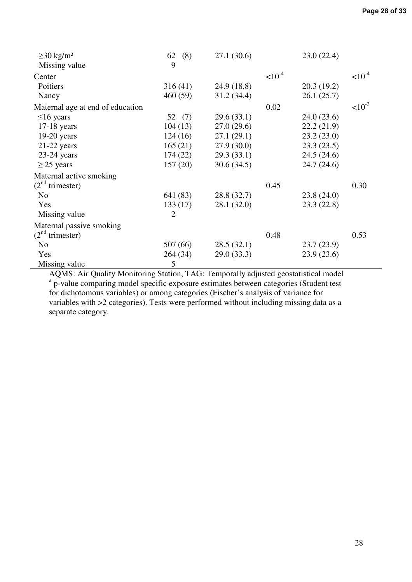| $\geq$ 30 kg/m <sup>2</sup>      | (8)<br>62      | 27.1(30.6)  |             | 23.0(22.4)  |             |
|----------------------------------|----------------|-------------|-------------|-------------|-------------|
| Missing value                    | 9              |             |             |             |             |
| Center                           |                |             | $< 10^{-4}$ |             | $< 10^{-4}$ |
| Poitiers                         | 316(41)        | 24.9 (18.8) |             | 20.3(19.2)  |             |
| Nancy                            | 460(59)        | 31.2(34.4)  |             | 26.1(25.7)  |             |
| Maternal age at end of education |                |             | 0.02        |             | $< 10^{-3}$ |
| $\leq 16$ years                  | 52 (7)         | 29.6(33.1)  |             | 24.0(23.6)  |             |
| $17-18$ years                    | 104(13)        | 27.0(29.6)  |             | 22.2(21.9)  |             |
| $19-20$ years                    | 124(16)        | 27.1(29.1)  |             | 23.2(23.0)  |             |
| $21-22$ years                    | 165(21)        | 27.9(30.0)  |             | 23.3(23.5)  |             |
| $23-24$ years                    | 174(22)        | 29.3(33.1)  |             | 24.5(24.6)  |             |
| $\geq$ 25 years                  | 157(20)        | 30.6(34.5)  |             | 24.7 (24.6) |             |
| Maternal active smoking          |                |             |             |             |             |
| $(2nd$ trimester)                |                |             | 0.45        |             | 0.30        |
| N <sub>0</sub>                   | 641 (83)       | 28.8 (32.7) |             | 23.8(24.0)  |             |
| Yes                              | 133(17)        | 28.1 (32.0) |             | 23.3(22.8)  |             |
| Missing value                    | $\overline{2}$ |             |             |             |             |
| Maternal passive smoking         |                |             |             |             |             |
| $(2nd$ trimester)                |                |             | 0.48        |             | 0.53        |
| N <sub>o</sub>                   | 507 (66)       | 28.5(32.1)  |             | 23.7(23.9)  |             |
| Yes                              | 264(34)        | 29.0(33.3)  |             | 23.9(23.6)  |             |
| Missing value                    | 5              |             |             |             |             |

AQMS: Air Quality Monitoring Station, TAG: Temporally adjusted geostatistical model <sup>a</sup> p-value comparing model specific exposure estimates between categories (Student test for dichotomous variables) or among categories (Fischer's analysis of variance for variables with >2 categories). Tests were performed without including missing data as a separate category.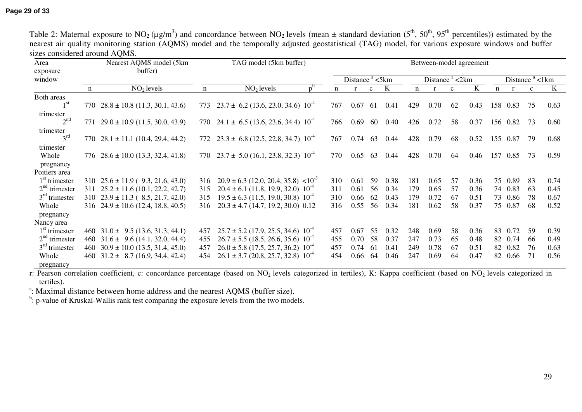| Area                          |     | Nearest AQMS model (5km                            | TAG model (5km buffer) |                                                     |  |     | Between-model agreement |              |      |                            |      |              |      |                   |          |              |      |
|-------------------------------|-----|----------------------------------------------------|------------------------|-----------------------------------------------------|--|-----|-------------------------|--------------|------|----------------------------|------|--------------|------|-------------------|----------|--------------|------|
| exposure<br>window            |     | buffer)                                            |                        |                                                     |  |     | Distance $a$ <5km       |              |      | Distance <sup>a</sup> <2km |      |              |      | Distance $a$ <1km |          |              |      |
|                               | n   | $NO2$ levels                                       | $\mathbf n$            | $NO2$ levels                                        |  | n   |                         | $\mathbf{c}$ | K    | n                          |      | $\mathbf{c}$ | K    | $\mathbf n$       |          | $\mathbf{c}$ | K    |
| Both areas                    |     |                                                    |                        |                                                     |  |     |                         |              |      |                            |      |              |      |                   |          |              |      |
| 1 <sup>st</sup>               |     | 770 $28.8 \pm 10.8$ (11.3, 30.1, 43.6)             | 773                    | $23.7 \pm 6.2$ (13.6, 23.0, 34.6) $10^{-4}$         |  | 767 | 0.67                    | -61          | 0.41 | 429                        | 0.70 | 62           | 0.43 |                   | 158 0.83 | 75           | 0.63 |
| trimester                     |     |                                                    |                        |                                                     |  |     |                         |              |      |                            |      |              |      |                   |          |              |      |
| 2 <sup>nd</sup>               | 771 | $29.0 \pm 10.9$ (11.5, 30.0, 43.9)                 |                        | 770 $24.1 \pm 6.5$ (13.6, 23.6, 34.4) $10^{-4}$     |  | 766 | 0.69                    | 60           | 0.40 | 426                        | 0.72 | 58           | 0.37 |                   | 156 0.82 | 73           | 0.60 |
| trimester                     |     |                                                    |                        |                                                     |  |     |                         |              |      |                            |      |              |      |                   |          |              |      |
| 3 <sup>rd</sup>               |     | 770 $28.1 \pm 11.1$ (10.4, 29.4, 44.2)             |                        | 772 $23.3 \pm 6.8$ (12.5, 22.8, 34.7) $10^{-4}$     |  | 767 | 0.74                    | 63           | 0.44 | 428                        | 0.79 | 68           | 0.52 |                   | 155 0.87 | 79           | 0.68 |
| trimester                     |     |                                                    |                        |                                                     |  |     |                         |              |      |                            |      |              |      |                   |          |              |      |
| Whole                         |     | 776 $28.6 \pm 10.0$ (13.3, 32.4, 41.8)             |                        | 770 $23.7 \pm 5.0$ (16.1, 23.8, 32.3) $10^{-4}$     |  | 770 | 0.65                    | 63           | 0.44 | 428                        | 0.70 | 64           | 0.46 | 157               | 0.85     | 73           | 0.59 |
| pregnancy                     |     |                                                    |                        |                                                     |  |     |                         |              |      |                            |      |              |      |                   |          |              |      |
| Poitiers area                 |     |                                                    |                        |                                                     |  |     |                         |              |      |                            |      |              |      |                   |          |              |      |
| $1st$ trimester               |     | 310 $25.6 \pm 11.9$ (9.3, 21.6, 43.0)              | 316                    | $20.9 \pm 6.3$ (12.0, 20.4, 35.8) <10 <sup>-3</sup> |  | 310 | 0.61                    | 59           | 0.38 | 181                        | 0.65 | 57           | 0.36 | 75                | 0.89     | 83           | 0.74 |
| $2nd$ trimester               |     | $311 \quad 25.2 \pm 11.6 \quad (10.1, 22.2, 42.7)$ | 315                    | $20.4 \pm 6.1$ (11.8, 19.9, 32.0) $10^{-4}$         |  | 311 | 0.61                    | 56           | 0.34 | 179                        | 0.65 | 57           | 0.36 | 74                | 0.83     | -63          | 0.45 |
| $3rd$ trimester               |     | $310$ $23.9 \pm 11.3$ (8.5, 21.7, 42.0)            | 315                    | $19.5 \pm 6.3$ (11.5, 19.0, 30.8) $10^{-4}$         |  | 310 | 0.66                    | 62           | 0.43 | 179                        | 0.72 | 67           | 0.51 | 73                | 0.86     | 78           | 0.67 |
| Whole                         |     | 316 $24.9 \pm 10.6$ (12.4, 18.8, 40.5)             | 316                    | $20.3 \pm 4.7$ (14.7, 19.2, 30.0) 0.12              |  | 316 | 0.55                    | 56           | 0.34 | 181                        | 0.62 | 58           | 0.37 | 75                | 0.87     | 68           | 0.52 |
| pregnancy                     |     |                                                    |                        |                                                     |  |     |                         |              |      |                            |      |              |      |                   |          |              |      |
| Nancy area                    |     |                                                    |                        |                                                     |  |     |                         |              |      |                            |      |              |      |                   |          |              |      |
| $1st$ trimester               |     | 460 $31.0 \pm 9.5$ (13.6, 31.3, 44.1)              | 457                    | $25.7 \pm 5.2$ (17.9, 25.5, 34.6) 10 <sup>-4</sup>  |  | 457 | 0.67                    | 55           | 0.32 | 248                        | 0.69 | 58           | 0.36 | 83                | 0.72     | 59           | 0.39 |
| $2nd$ trimester               |     | 460 $31.6 \pm 9.6$ (14.1, 32.0, 44.4)              | 455                    | $26.7 \pm 5.5$ (18.5, 26.6, 35.6) 10 <sup>-4</sup>  |  | 455 | 0.70                    | 58           | 0.37 | 247                        | 0.73 | 65           | 0.48 | 82                | 0.74     | -66          | 0.49 |
| $3rd$ trimester               |     | 460 $30.9 \pm 10.0$ (13.5, 31.4, 45.0)             | 457                    | $26.0 \pm 5.8$ (17.5, 25.7, 36.2) 10 <sup>-4</sup>  |  | 457 | 0.74                    | -61          | 0.41 | 249                        | 0.78 | 67           | 0.51 | 82                | 0.82     | 76           | 0.63 |
| Whole                         | 460 | $31.2 \pm 8.7$ (16.9, 34.4, 42.4)                  | 454                    | $26.1 \pm 3.7$ (20.8, 25.7, 32.8) $10^{-4}$         |  | 454 | 0.66                    | 64           | 0.46 | 247                        | 0.69 | 64           | 0.47 | 82                | 0.66     | 71           | 0.56 |
| $n$ re $\alpha$ nanc $\alpha$ |     |                                                    |                        |                                                     |  |     |                         |              |      |                            |      |              |      |                   |          |              |      |

Table 2: Maternal exposure to NO<sub>2</sub> ( $\mu$ g/m<sup>3</sup>) and concordance between NO<sub>2</sub> levels (mean  $\pm$  standard deviation (5<sup>th</sup>, 50<sup>th</sup>, 95<sup>th</sup> percentiles)) estimated by the nearest air quality monitoring station (AQMS) model and the temporally adjusted geostatistical (TAG) model, for various exposure windows and buffer sizes considered around AQMS.

pregnancy<br>
r: Pearson correlation coefficient, c: concordance percentage (based on NO<sub>2</sub> levels categorized in tertiles), K: Kappa coefficient (based on NO<sub>2</sub> levels categorized in tertiles).

<sup>a</sup>: Maximal distance between home address and the nearest AQMS (buffer size).

 $\phi$ : p-value of Kruskal-Wallis rank test comparing the exposure levels from the two models.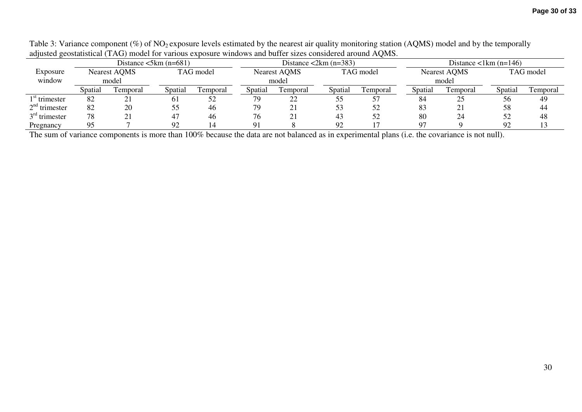|                                                    |         |           | Distance $\leq 5km$ (n=681) |           |         |                              | Distance $\langle 2km (n=383) \rangle$ |           |         | Distance $\langle$ 1km (n=146) |           |           |  |  |
|----------------------------------------------------|---------|-----------|-----------------------------|-----------|---------|------------------------------|----------------------------------------|-----------|---------|--------------------------------|-----------|-----------|--|--|
| <b>Nearest AQMS</b><br>Exposure<br>window<br>model |         |           |                             | TAG model |         | <b>Nearest AQMS</b><br>model |                                        | TAG model |         | <b>Nearest AQMS</b><br>model   | TAG model |           |  |  |
|                                                    | Spatial | l'emporal | Spatial                     | Temporal  | Spatial | Femporal                     | Spatial                                | Temporal  | Spatial | Temporal                       | Spatial   | l'emporal |  |  |
| $1st$ trimester                                    | 82      |           | 0 <sub>1</sub>              | 52        | 79.     | 22                           | ככ                                     |           | 84      | 25                             | 56        | 49        |  |  |
| $2nd$ trimester                                    | 82      | 20        | ככ                          | 46        | 79      | ∠∣                           | 53                                     | 52        | 83      | 21                             | 58        | 44        |  |  |
| $3rd$ trimester                                    | 78      |           | 47                          | 46        | 76      |                              | 43                                     | 52        | 80      | 24                             |           | 48        |  |  |
| Pregnancy                                          | 95      |           | 92                          |           |         |                              | 92                                     |           |         |                                | റാ        |           |  |  |

Table 3: Variance component  $(\%)$  of NO<sub>2</sub> exposure levels estimated by the nearest air quality monitoring station (AQMS) model and by the temporally adjusted geostatistical (TAG) model for various exposure windows and buffer sizes considered around AQMS.

The sum of variance components is more than 100% because the data are not balanced as in experimental plans (i.e. the covariance is not null).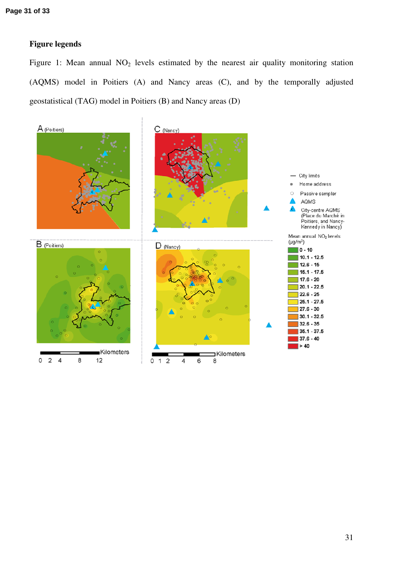### **Figure legends**

Figure 1: Mean annual  $NO<sub>2</sub>$  levels estimated by the nearest air quality monitoring station (AQMS) model in Poitiers (A) and Nancy areas (C), and by the temporally adjusted geostatistical (TAG) model in Poitiers (B) and Nancy areas (D)

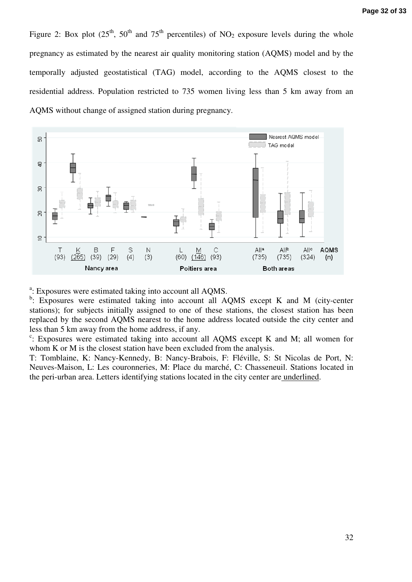Figure 2: Box plot  $(25<sup>th</sup>, 50<sup>th</sup>$  and  $75<sup>th</sup>$  percentiles) of NO<sub>2</sub> exposure levels during the whole pregnancy as estimated by the nearest air quality monitoring station (AQMS) model and by the temporally adjusted geostatistical (TAG) model, according to the AQMS closest to the residential address. Population restricted to 735 women living less than 5 km away from an AQMS without change of assigned station during pregnancy.



<sup>a</sup>: Exposures were estimated taking into account all AQMS.

<sup>b</sup>: Exposures were estimated taking into account all AQMS except K and M (city-center stations); for subjects initially assigned to one of these stations, the closest station has been replaced by the second AQMS nearest to the home address located outside the city center and less than 5 km away from the home address, if any.

<sup>c</sup>: Exposures were estimated taking into account all AQMS except K and M; all women for whom K or M is the closest station have been excluded from the analysis.

T: Tomblaine, K: Nancy-Kennedy, B: Nancy-Brabois, F: Fléville, S: St Nicolas de Port, N: Neuves-Maison, L: Les couronneries, M: Place du marché, C: Chasseneuil. Stations located in the peri-urban area. Letters identifying stations located in the city center are underlined.